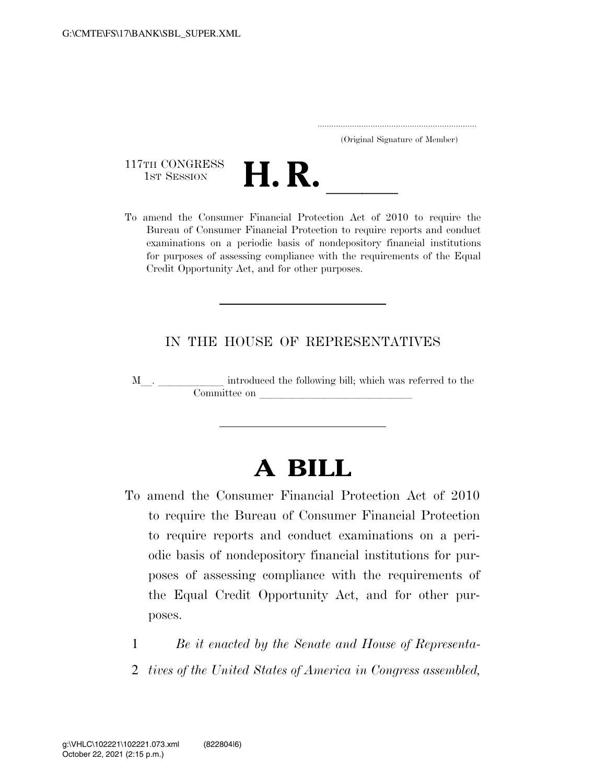|  | (Original Signature of Member) |  |
|--|--------------------------------|--|

117TH CONGRESS<br>1st Session



117TH CONGRESS<br>1st SESSION **H. R.** <u>Indicess</u><br>To amend the Consumer Financial Protection Act of 2010 to require the Bureau of Consumer Financial Protection to require reports and conduct examinations on a periodic basis of nondepository financial institutions for purposes of assessing compliance with the requirements of the Equal Credit Opportunity Act, and for other purposes.

## IN THE HOUSE OF REPRESENTATIVES

M<sub>\_\_</sub>. \_\_\_\_\_\_\_\_\_\_\_\_ introduced the following bill; which was referred to the  $Commitee$  on  $\qquad \qquad \qquad$ 

## **A BILL**

- To amend the Consumer Financial Protection Act of 2010 to require the Bureau of Consumer Financial Protection to require reports and conduct examinations on a periodic basis of nondepository financial institutions for purposes of assessing compliance with the requirements of the Equal Credit Opportunity Act, and for other purposes.
	- 1 *Be it enacted by the Senate and House of Representa-*
	- 2 *tives of the United States of America in Congress assembled,*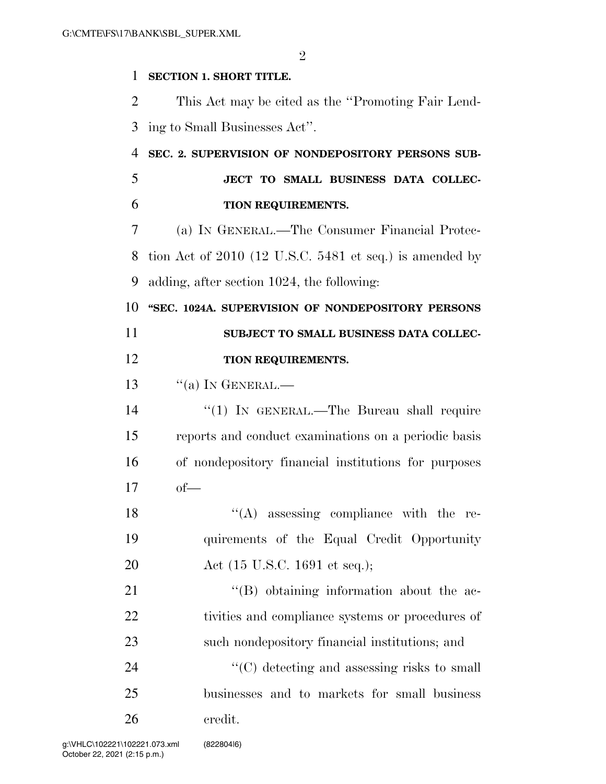$\mathfrak{D}$ 

## **SECTION 1. SHORT TITLE.**

 This Act may be cited as the ''Promoting Fair Lend-ing to Small Businesses Act''.

## **SEC. 2. SUPERVISION OF NONDEPOSITORY PERSONS SUB- JECT TO SMALL BUSINESS DATA COLLEC-TION REQUIREMENTS.**

 (a) IN GENERAL.—The Consumer Financial Protec- tion Act of 2010 (12 U.S.C. 5481 et seq.) is amended by adding, after section 1024, the following:

 **''SEC. 1024A. SUPERVISION OF NONDEPOSITORY PERSONS SUBJECT TO SMALL BUSINESS DATA COLLEC-**

- **TION REQUIREMENTS.**
- 13  $\frac{1}{2}$   $\frac{1}{2}$   $\frac{1}{2}$   $\frac{1}{2}$   $\frac{1}{2}$   $\frac{1}{2}$   $\frac{1}{2}$   $\frac{1}{2}$   $\frac{1}{2}$   $\frac{1}{2}$   $\frac{1}{2}$   $\frac{1}{2}$   $\frac{1}{2}$   $\frac{1}{2}$   $\frac{1}{2}$   $\frac{1}{2}$   $\frac{1}{2}$   $\frac{1}{2}$   $\frac{1}{2}$   $\frac{1}{2}$   $\frac{1}{2}$   $\frac{1}{2}$

14 ''(1) In GENERAL.—The Bureau shall require reports and conduct examinations on a periodic basis of nondepository financial institutions for purposes of—

18 ''(A) assessing compliance with the re- quirements of the Equal Credit Opportunity Act (15 U.S.C. 1691 et seq.);

21 ''(B) obtaining information about the ac- tivities and compliance systems or procedures of such nondepository financial institutions; and

24  $\cdot$  (C) detecting and assessing risks to small businesses and to markets for small business credit.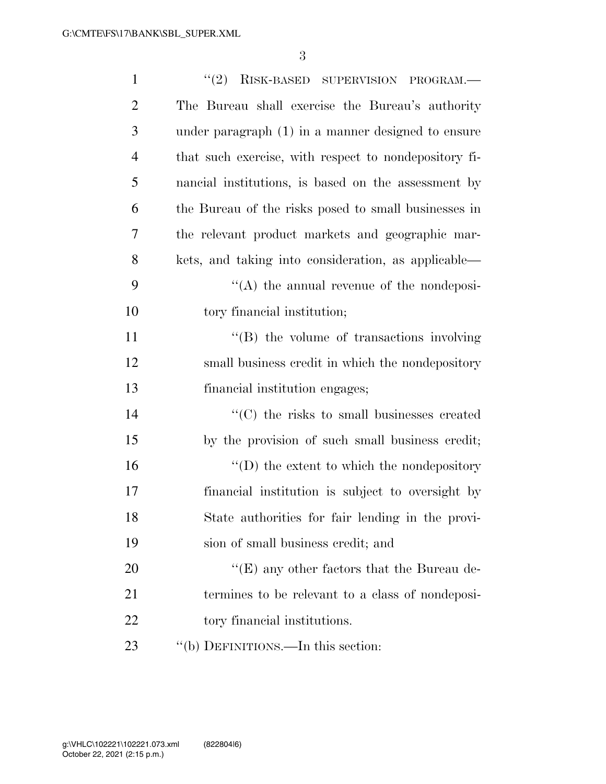3

| $\mathbf{1}$   | $``(2)$ RISK-BASED SUPERVISION PROGRAM.—              |  |  |  |
|----------------|-------------------------------------------------------|--|--|--|
| $\overline{2}$ | The Bureau shall exercise the Bureau's authority      |  |  |  |
| 3              | under paragraph $(1)$ in a manner designed to ensure  |  |  |  |
| 4              | that such exercise, with respect to nondepository fi- |  |  |  |
| 5              | nancial institutions, is based on the assessment by   |  |  |  |
| 6              | the Bureau of the risks posed to small businesses in  |  |  |  |
| 7              | the relevant product markets and geographic mar-      |  |  |  |
| 8              | kets, and taking into consideration, as applicable—   |  |  |  |
| 9              | $\lq\lq$ the annual revenue of the nondeposi-         |  |  |  |
| 10             | tory financial institution;                           |  |  |  |
| 11             | $\lq\lq$ the volume of transactions involving         |  |  |  |
| 12             | small business credit in which the nondepository      |  |  |  |
| 13             | financial institution engages;                        |  |  |  |
| 14             | $\cdot$ (C) the risks to small businesses created     |  |  |  |
| 15             | by the provision of such small business credit;       |  |  |  |
| 16             | $\lq\lq$ the extent to which the nondepository        |  |  |  |
| 17             | financial institution is subject to oversight by      |  |  |  |
| 18             | State authorities for fair lending in the provi-      |  |  |  |
| 19             | sion of small business credit; and                    |  |  |  |
| 20             | " $(E)$ any other factors that the Bureau de-         |  |  |  |
| 21             | termines to be relevant to a class of nondeposi-      |  |  |  |
| 22             | tory financial institutions.                          |  |  |  |
| 23             | "(b) DEFINITIONS.—In this section:                    |  |  |  |